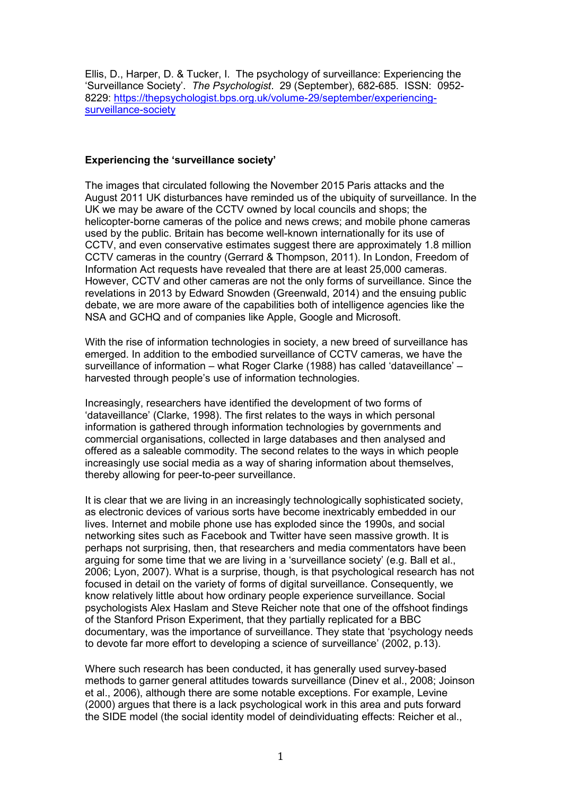Ellis, D., Harper, D. & Tucker, I. The psychology of surveillance: Experiencing the 'Surveillance Society'. *The Psychologist*. 29 (September), 682-685. ISSN: 0952- 8229: [https://thepsychologist.bps.org.uk/volume-29/september/experiencing](https://thepsychologist.bps.org.uk/volume-29/september/experiencing-surveillance-society)surveillance-society

## **Experiencing the 'surveillance society'**

The images that circulated following the November 2015 Paris attacks and the August 2011 UK disturbances have reminded us of the ubiquity of surveillance. In the UK we may be aware of the CCTV owned by local councils and shops; the helicopter-borne cameras of the police and news crews; and mobile phone cameras used by the public. Britain has become well-known internationally for its use of CCTV, and even conservative estimates suggest there are approximately 1.8 million CCTV cameras in the country (Gerrard & Thompson, 2011). In London, Freedom of Information Act requests have revealed that there are at least 25,000 cameras. However, CCTV and other cameras are not the only forms of surveillance. Since the revelations in 2013 by Edward Snowden (Greenwald, 2014) and the ensuing public debate, we are more aware of the capabilities both of intelligence agencies like the NSA and GCHQ and of companies like Apple, Google and Microsoft.

With the rise of information technologies in society, a new breed of surveillance has emerged. In addition to the embodied surveillance of CCTV cameras, we have the surveillance of information – what Roger Clarke (1988) has called 'dataveillance' – harvested through people's use of information technologies.

Increasingly, researchers have identified the development of two forms of 'dataveillance' (Clarke, 1998). The first relates to the ways in which personal information is gathered through information technologies by governments and commercial organisations, collected in large databases and then analysed and offered as a saleable commodity. The second relates to the ways in which people increasingly use social media as a way of sharing information about themselves, thereby allowing for peer-to-peer surveillance.

It is clear that we are living in an increasingly technologically sophisticated society, as electronic devices of various sorts have become inextricably embedded in our lives. Internet and mobile phone use has exploded since the 1990s, and social networking sites such as Facebook and Twitter have seen massive growth. It is perhaps not surprising, then, that researchers and media commentators have been arguing for some time that we are living in a 'surveillance society' (e.g. Ball et al., 2006; Lyon, 2007). What is a surprise, though, is that psychological research has not focused in detail on the variety of forms of digital surveillance. Consequently, we know relatively little about how ordinary people experience surveillance. Social psychologists Alex Haslam and Steve Reicher note that one of the offshoot findings of the Stanford Prison Experiment, that they partially replicated for a BBC documentary, was the importance of surveillance. They state that 'psychology needs to devote far more effort to developing a science of surveillance' (2002, p.13).

Where such research has been conducted, it has generally used survey-based methods to garner general attitudes towards surveillance (Dinev et al., 2008; Joinson et al., 2006), although there are some notable exceptions. For example, Levine (2000) argues that there is a lack psychological work in this area and puts forward the SIDE model (the social identity model of deindividuating effects: Reicher et al.,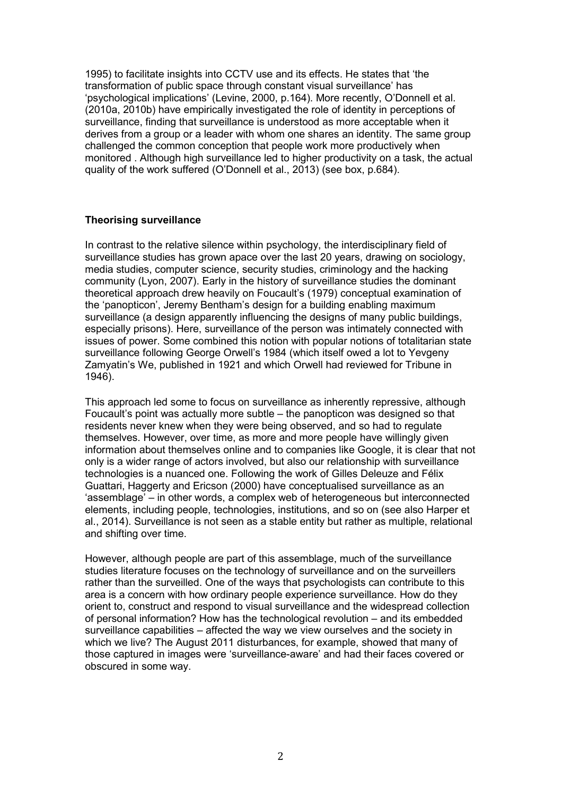1995) to facilitate insights into CCTV use and its effects. He states that 'the transformation of public space through constant visual surveillance' has 'psychological implications' (Levine, 2000, p.164). More recently, O'Donnell et al. (2010a, 2010b) have empirically investigated the role of identity in perceptions of surveillance, finding that surveillance is understood as more acceptable when it derives from a group or a leader with whom one shares an identity. The same group challenged the common conception that people work more productively when monitored . Although high surveillance led to higher productivity on a task, the actual quality of the work suffered (O'Donnell et al., 2013) (see box, p.684).

### **Theorising surveillance**

In contrast to the relative silence within psychology, the interdisciplinary field of surveillance studies has grown apace over the last 20 years, drawing on sociology, media studies, computer science, security studies, criminology and the hacking community (Lyon, 2007). Early in the history of surveillance studies the dominant theoretical approach drew heavily on Foucault's (1979) conceptual examination of the 'panopticon', Jeremy Bentham's design for a building enabling maximum surveillance (a design apparently influencing the designs of many public buildings, especially prisons). Here, surveillance of the person was intimately connected with issues of power. Some combined this notion with popular notions of totalitarian state surveillance following George Orwell's 1984 (which itself owed a lot to Yevgeny Zamyatin's We, published in 1921 and which Orwell had reviewed for Tribune in 1946).

This approach led some to focus on surveillance as inherently repressive, although Foucault's point was actually more subtle – the panopticon was designed so that residents never knew when they were being observed, and so had to regulate themselves. However, over time, as more and more people have willingly given information about themselves online and to companies like Google, it is clear that not only is a wider range of actors involved, but also our relationship with surveillance technologies is a nuanced one. Following the work of Gilles Deleuze and Félix Guattari, Haggerty and Ericson (2000) have conceptualised surveillance as an 'assemblage' – in other words, a complex web of heterogeneous but interconnected elements, including people, technologies, institutions, and so on (see also Harper et al., 2014). Surveillance is not seen as a stable entity but rather as multiple, relational and shifting over time.

However, although people are part of this assemblage, much of the surveillance studies literature focuses on the technology of surveillance and on the surveillers rather than the surveilled. One of the ways that psychologists can contribute to this area is a concern with how ordinary people experience surveillance. How do they orient to, construct and respond to visual surveillance and the widespread collection of personal information? How has the technological revolution – and its embedded surveillance capabilities – affected the way we view ourselves and the society in which we live? The August 2011 disturbances, for example, showed that many of those captured in images were 'surveillance-aware' and had their faces covered or obscured in some way.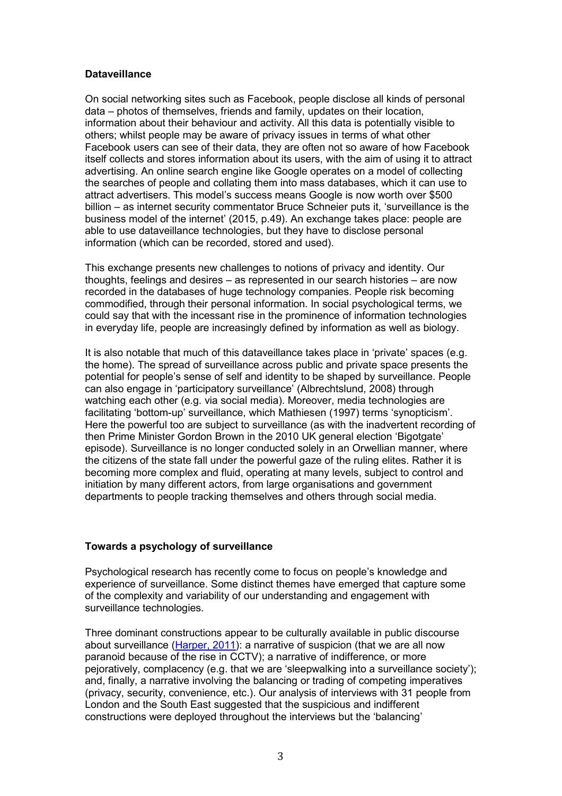# **Dataveillance**

On social networking sites such as Facebook, people disclose all kinds of personal data – photos of themselves, friends and family, updates on their location, information about their behaviour and activity. All this data is potentially visible to others; whilst people may be aware of privacy issues in terms of what other Facebook users can see of their data, they are often not so aware of how Facebook itself collects and stores information about its users, with the aim of using it to attract advertising. An online search engine like Google operates on a model of collecting the searches of people and collating them into mass databases, which it can use to attract advertisers. This model's success means Google is now worth over \$500 billion – as internet security commentator Bruce Schneier puts it, 'surveillance is the business model of the internet' (2015, p.49). An exchange takes place: people are able to use dataveillance technologies, but they have to disclose personal information (which can be recorded, stored and used).

This exchange presents new challenges to notions of privacy and identity. Our thoughts, feelings and desires – as represented in our search histories – are now recorded in the databases of huge technology companies. People risk becoming commodified, through their personal information. In social psychological terms, we could say that with the incessant rise in the prominence of information technologies in everyday life, people are increasingly defined by information as well as biology.

It is also notable that much of this dataveillance takes place in 'private' spaces (e.g. the home). The spread of surveillance across public and private space presents the potential for people's sense of self and identity to be shaped by surveillance. People can also engage in 'participatory surveillance' (Albrechtslund, 2008) through watching each other (e.g. via social media). Moreover, media technologies are facilitating 'bottom-up' surveillance, which Mathiesen (1997) terms 'synopticism'. Here the powerful too are subject to surveillance (as with the inadvertent recording of then Prime Minister Gordon Brown in the 2010 UK general election 'Bigotgate' episode). Surveillance is no longer conducted solely in an Orwellian manner, where the citizens of the state fall under the powerful gaze of the ruling elites. Rather it is becoming more complex and fluid, operating at many levels, subject to control and initiation by many different actors, from large organisations and government departments to people tracking themselves and others through social media.

# **Towards a psychology of surveillance**

Psychological research has recently come to focus on people's knowledge and experience of surveillance. Some distinct themes have emerged that capture some of the complexity and variability of our understanding and engagement with surveillance technologies.

Three dominant constructions appear to be culturally available in public discourse about surveillance [\(Harper, 2011\)](http://tinyurl.com/zjbs53v): a narrative of suspicion (that we are all now paranoid because of the rise in CCTV); a narrative of indifference, or more pejoratively, complacency (e.g. that we are 'sleepwalking into a surveillance society'); and, finally, a narrative involving the balancing or trading of competing imperatives (privacy, security, convenience, etc.). Our analysis of interviews with 31 people from London and the South East suggested that the suspicious and indifferent constructions were deployed throughout the interviews but the 'balancing'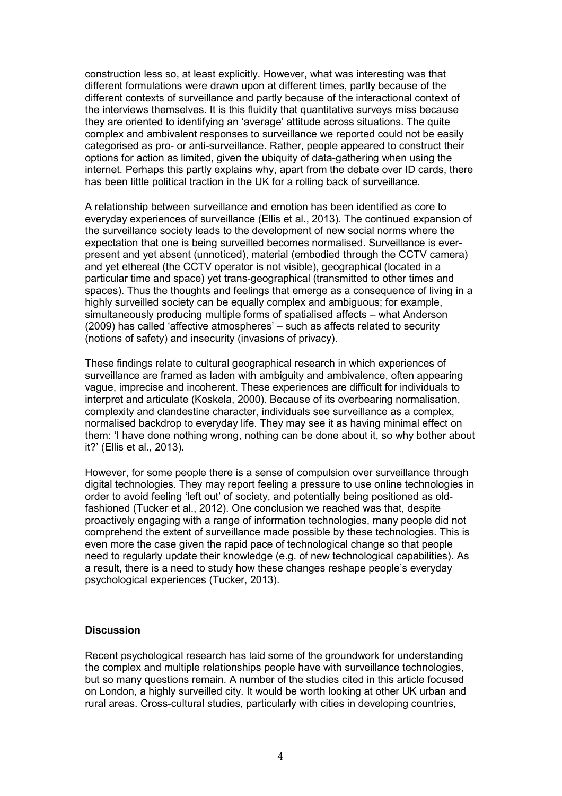construction less so, at least explicitly. However, what was interesting was that different formulations were drawn upon at different times, partly because of the different contexts of surveillance and partly because of the interactional context of the interviews themselves. It is this fluidity that quantitative surveys miss because they are oriented to identifying an 'average' attitude across situations. The quite complex and ambivalent responses to surveillance we reported could not be easily categorised as pro- or anti-surveillance. Rather, people appeared to construct their options for action as limited, given the ubiquity of data-gathering when using the internet. Perhaps this partly explains why, apart from the debate over ID cards, there has been little political traction in the UK for a rolling back of surveillance.

A relationship between surveillance and emotion has been identified as core to everyday experiences of surveillance (Ellis et al., 2013). The continued expansion of the surveillance society leads to the development of new social norms where the expectation that one is being surveilled becomes normalised. Surveillance is everpresent and yet absent (unnoticed), material (embodied through the CCTV camera) and yet ethereal (the CCTV operator is not visible), geographical (located in a particular time and space) yet trans-geographical (transmitted to other times and spaces). Thus the thoughts and feelings that emerge as a consequence of living in a highly surveilled society can be equally complex and ambiguous; for example, simultaneously producing multiple forms of spatialised affects – what Anderson (2009) has called 'affective atmospheres' – such as affects related to security (notions of safety) and insecurity (invasions of privacy).

These findings relate to cultural geographical research in which experiences of surveillance are framed as laden with ambiguity and ambivalence, often appearing vague, imprecise and incoherent. These experiences are difficult for individuals to interpret and articulate (Koskela, 2000). Because of its overbearing normalisation, complexity and clandestine character, individuals see surveillance as a complex, normalised backdrop to everyday life. They may see it as having minimal effect on them: 'I have done nothing wrong, nothing can be done about it, so why bother about it?' (Ellis et al., 2013).

However, for some people there is a sense of compulsion over surveillance through digital technologies. They may report feeling a pressure to use online technologies in order to avoid feeling 'left out' of society, and potentially being positioned as oldfashioned (Tucker et al., 2012). One conclusion we reached was that, despite proactively engaging with a range of information technologies, many people did not comprehend the extent of surveillance made possible by these technologies. This is even more the case given the rapid pace of technological change so that people need to regularly update their knowledge (e.g. of new technological capabilities). As a result, there is a need to study how these changes reshape people's everyday psychological experiences (Tucker, 2013).

### **Discussion**

Recent psychological research has laid some of the groundwork for understanding the complex and multiple relationships people have with surveillance technologies, but so many questions remain. A number of the studies cited in this article focused on London, a highly surveilled city. It would be worth looking at other UK urban and rural areas. Cross-cultural studies, particularly with cities in developing countries,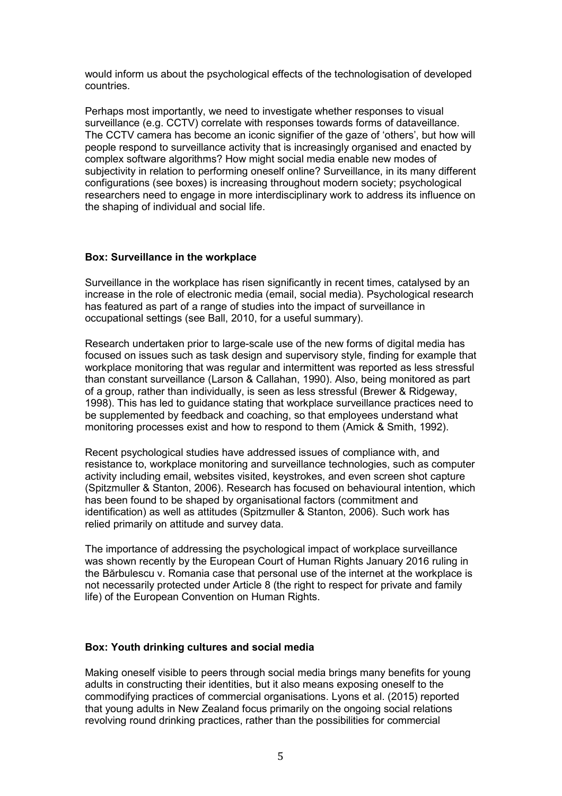would inform us about the psychological effects of the technologisation of developed countries.

Perhaps most importantly, we need to investigate whether responses to visual surveillance (e.g. CCTV) correlate with responses towards forms of dataveillance. The CCTV camera has become an iconic signifier of the gaze of 'others', but how will people respond to surveillance activity that is increasingly organised and enacted by complex software algorithms? How might social media enable new modes of subjectivity in relation to performing oneself online? Surveillance, in its many different configurations (see boxes) is increasing throughout modern society; psychological researchers need to engage in more interdisciplinary work to address its influence on the shaping of individual and social life.

### **Box: Surveillance in the workplace**

Surveillance in the workplace has risen significantly in recent times, catalysed by an increase in the role of electronic media (email, social media). Psychological research has featured as part of a range of studies into the impact of surveillance in occupational settings (see Ball, 2010, for a useful summary).

Research undertaken prior to large-scale use of the new forms of digital media has focused on issues such as task design and supervisory style, finding for example that workplace monitoring that was regular and intermittent was reported as less stressful than constant surveillance (Larson & Callahan, 1990). Also, being monitored as part of a group, rather than individually, is seen as less stressful (Brewer & Ridgeway, 1998). This has led to guidance stating that workplace surveillance practices need to be supplemented by feedback and coaching, so that employees understand what monitoring processes exist and how to respond to them (Amick & Smith, 1992).

Recent psychological studies have addressed issues of compliance with, and resistance to, workplace monitoring and surveillance technologies, such as computer activity including email, websites visited, keystrokes, and even screen shot capture (Spitzmuller & Stanton, 2006). Research has focused on behavioural intention, which has been found to be shaped by organisational factors (commitment and identification) as well as attitudes (Spitzmuller & Stanton, 2006). Such work has relied primarily on attitude and survey data.

The importance of addressing the psychological impact of workplace surveillance was shown recently by the European Court of Human Rights January 2016 ruling in the Bărbulescu v. Romania case that personal use of the internet at the workplace is not necessarily protected under Article 8 (the right to respect for private and family life) of the European Convention on Human Rights.

# **Box: Youth drinking cultures and social media**

Making oneself visible to peers through social media brings many benefits for young adults in constructing their identities, but it also means exposing oneself to the commodifying practices of commercial organisations. Lyons et al. (2015) reported that young adults in New Zealand focus primarily on the ongoing social relations revolving round drinking practices, rather than the possibilities for commercial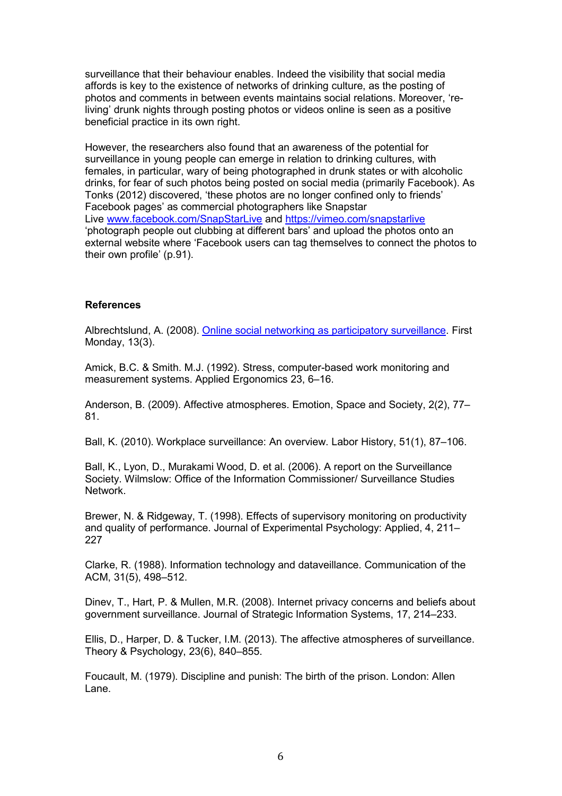surveillance that their behaviour enables. Indeed the visibility that social media affords is key to the existence of networks of drinking culture, as the posting of photos and comments in between events maintains social relations. Moreover, 'reliving' drunk nights through posting photos or videos online is seen as a positive beneficial practice in its own right.

However, the researchers also found that an awareness of the potential for surveillance in young people can emerge in relation to drinking cultures, with females, in particular, wary of being photographed in drunk states or with alcoholic drinks, for fear of such photos being posted on social media (primarily Facebook). As Tonks (2012) discovered, 'these photos are no longer confined only to friends' Facebook pages' as commercial photographers like Snapstar Live [www.facebook.com/SnapStarLive](http://www.facebook.com/SnapStarLive) and<https://vimeo.com/snapstarlive> 'photograph people out clubbing at different bars' and upload the photos onto an external website where 'Facebook users can tag themselves to connect the photos to their own profile' (p.91).

#### **References**

Albrechtslund, A. (2008). [Online social networking as participatory surveillance.](http://firstmonday.org/article/view/2142/1949) First Monday, 13(3).

Amick, B.C. & Smith. M.J. (1992). Stress, computer-based work monitoring and measurement systems. Applied Ergonomics 23, 6–16.

Anderson, B. (2009). Affective atmospheres. Emotion, Space and Society, 2(2), 77– 81.

Ball, K. (2010). Workplace surveillance: An overview. Labor History, 51(1), 87–106.

Ball, K., Lyon, D., Murakami Wood, D. et al. (2006). A report on the Surveillance Society. Wilmslow: Office of the Information Commissioner/ Surveillance Studies Network.

Brewer, N. & Ridgeway, T. (1998). Effects of supervisory monitoring on productivity and quality of performance. Journal of Experimental Psychology: Applied, 4, 211– 227

Clarke, R. (1988). Information technology and dataveillance. Communication of the ACM, 31(5), 498–512.

Dinev, T., Hart, P. & Mullen, M.R. (2008). Internet privacy concerns and beliefs about government surveillance. Journal of Strategic Information Systems, 17, 214–233.

Ellis, D., Harper, D. & Tucker, I.M. (2013). The affective atmospheres of surveillance. Theory & Psychology, 23(6), 840–855.

Foucault, M. (1979). Discipline and punish: The birth of the prison. London: Allen Lane.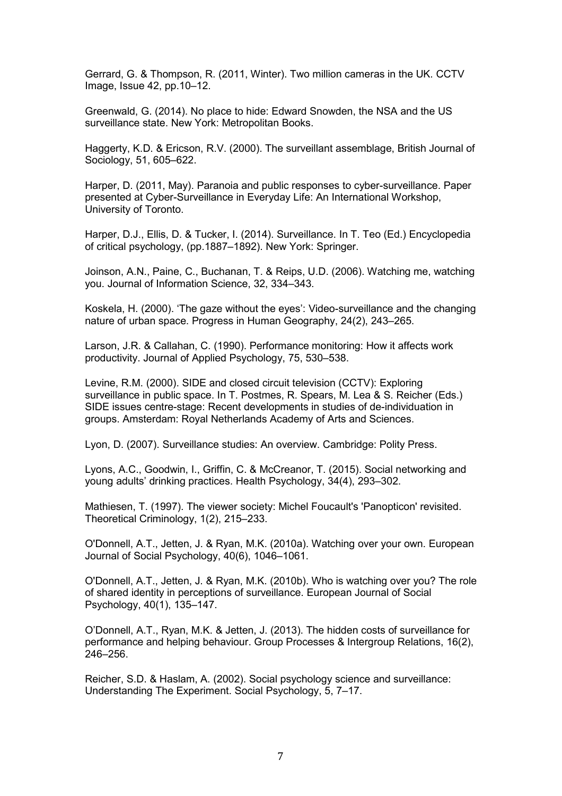Gerrard, G. & Thompson, R. (2011, Winter). Two million cameras in the UK. CCTV Image, Issue 42, pp.10–12.

Greenwald, G. (2014). No place to hide: Edward Snowden, the NSA and the US surveillance state. New York: Metropolitan Books.

Haggerty, K.D. & Ericson, R.V. (2000). The surveillant assemblage, British Journal of Sociology, 51, 605–622.

Harper, D. (2011, May). Paranoia and public responses to cyber-surveillance. Paper presented at Cyber-Surveillance in Everyday Life: An International Workshop, University of Toronto.

Harper, D.J., Ellis, D. & Tucker, I. (2014). Surveillance. In T. Teo (Ed.) Encyclopedia of critical psychology, (pp.1887–1892). New York: Springer.

Joinson, A.N., Paine, C., Buchanan, T. & Reips, U.D. (2006). Watching me, watching you. Journal of Information Science, 32, 334–343.

Koskela, H. (2000). 'The gaze without the eyes': Video-surveillance and the changing nature of urban space. Progress in Human Geography, 24(2), 243–265.

Larson, J.R. & Callahan, C. (1990). Performance monitoring: How it affects work productivity. Journal of Applied Psychology, 75, 530–538.

Levine, R.M. (2000). SIDE and closed circuit television (CCTV): Exploring surveillance in public space. In T. Postmes, R. Spears, M. Lea & S. Reicher (Eds.) SIDE issues centre-stage: Recent developments in studies of de-individuation in groups. Amsterdam: Royal Netherlands Academy of Arts and Sciences.

Lyon, D. (2007). Surveillance studies: An overview. Cambridge: Polity Press.

Lyons, A.C., Goodwin, I., Griffin, C. & McCreanor, T. (2015). Social networking and young adults' drinking practices. Health Psychology, 34(4), 293–302.

Mathiesen, T. (1997). The viewer society: Michel Foucault's 'Panopticon' revisited. Theoretical Criminology, 1(2), 215–233.

O'Donnell, A.T., Jetten, J. & Ryan, M.K. (2010a). Watching over your own. European Journal of Social Psychology, 40(6), 1046–1061.

O'Donnell, A.T., Jetten, J. & Ryan, M.K. (2010b). Who is watching over you? The role of shared identity in perceptions of surveillance. European Journal of Social Psychology, 40(1), 135–147.

O'Donnell, A.T., Ryan, M.K. & Jetten, J. (2013). The hidden costs of surveillance for performance and helping behaviour. Group Processes & Intergroup Relations, 16(2), 246–256.

Reicher, S.D. & Haslam, A. (2002). Social psychology science and surveillance: Understanding The Experiment. Social Psychology, 5, 7–17.